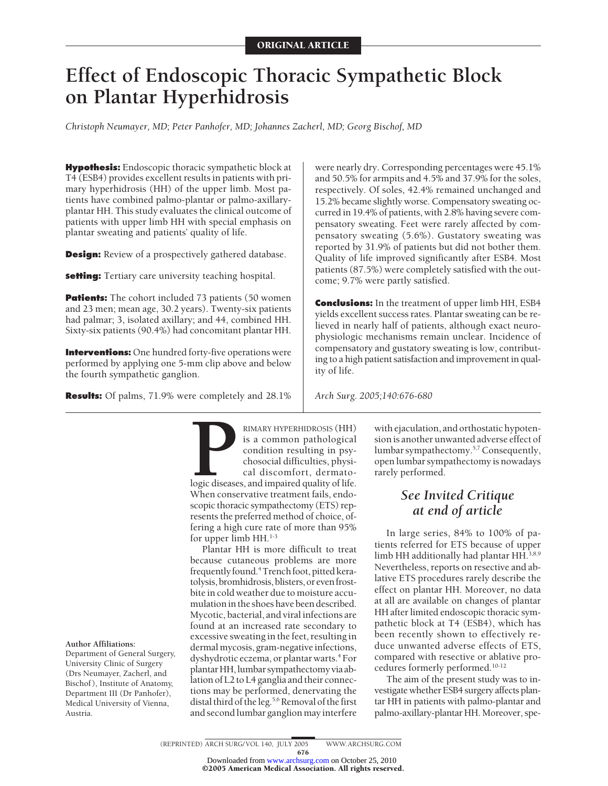# **Effect of Endoscopic Thoracic Sympathetic Block on Plantar Hyperhidrosis**

*Christoph Neumayer, MD; Peter Panhofer, MD; Johannes Zacherl, MD; Georg Bischof, MD*

**Hypothesis:** Endoscopic thoracic sympathetic block at T4 (ESB4) provides excellent results in patients with primary hyperhidrosis (HH) of the upper limb. Most patients have combined palmo-plantar or palmo-axillaryplantar HH. This study evaluates the clinical outcome of patients with upper limb HH with special emphasis on plantar sweating and patients' quality of life.

**Design:** Review of a prospectively gathered database.

**setting:** Tertiary care university teaching hospital.

**Patients:** The cohort included 73 patients (50 women) and 23 men; mean age, 30.2 years). Twenty-six patients had palmar; 3, isolated axillary; and 44, combined HH. Sixty-six patients (90.4%) had concomitant plantar HH.

**Interventions:** One hundred forty-five operations were performed by applying one 5-mm clip above and below the fourth sympathetic ganglion.

**Results:** Of palms, 71.9% were completely and 28.1%

were nearly dry. Corresponding percentages were 45.1% and 50.5% for armpits and 4.5% and 37.9% for the soles, respectively. Of soles, 42.4% remained unchanged and 15.2% became slightly worse. Compensatory sweating occurred in 19.4% of patients, with 2.8% having severe compensatory sweating. Feet were rarely affected by compensatory sweating (5.6%). Gustatory sweating was reported by 31.9% of patients but did not bother them. Quality of life improved significantly after ESB4. Most patients (87.5%) were completely satisfied with the outcome; 9.7% were partly satisfied.

**Conclusions:** In the treatment of upper limb HH, ESB4 yields excellent success rates. Plantar sweating can be relieved in nearly half of patients, although exact neurophysiologic mechanisms remain unclear. Incidence of compensatory and gustatory sweating is low, contributing to a high patient satisfaction and improvement in quality of life.

*Arch Surg. 2005;140:676-680*

**PERHIDROSIS (HH)**<br>
is a common pathological<br>
condition resulting in psy-<br>
chosocial difficulties, physi-<br>
cal discomfort, dermato-<br>
logic diseases, and impaired quality of life.<br>
When conservative treatment fails. endois a common pathological condition resulting in psychosocial difficulties, physical discomfort, dermatologic diseases, and impaired quality of life. When conservative treatment fails, endoscopic thoracic sympathectomy (ETS) represents the preferred method of choice, offering a high cure rate of more than 95% for upper limb HH.<sup>1-3</sup>

Plantar HH is more difficult to treat because cutaneous problems are more frequently found.<sup>4</sup> Trench foot, pitted keratolysis, bromhidrosis, blisters, or evenfrostbite in cold weather due to moisture accumulation in the shoes have been described. Mycotic, bacterial, and viral infections are found at an increased rate secondary to excessive sweating in the feet, resulting in dermal mycosis, gram-negative infections, dyshydrotic eczema, or plantar warts.<sup>4</sup> For plantar HH, lumbar sympathectomy via ablation of L2 to L4 ganglia and their connections may be performed, denervating the distal third of the leg.<sup>5,6</sup> Removal of the first and second lumbar ganglion may interfere

with ejaculation, and orthostatic hypotension is another unwanted adverse effect of lumbar sympathectomy.<sup>5,7</sup> Consequently, open lumbar sympathectomy is nowadays rarely performed.

# *See Invited Critique at end of article*

In large series, 84% to 100% of patients referred for ETS because of upper limb HH additionally had plantar HH.<sup>3,8,9</sup> Nevertheless, reports on resective and ablative ETS procedures rarely describe the effect on plantar HH. Moreover, no data at all are available on changes of plantar HH after limited endoscopic thoracic sympathetic block at T4 (ESB4), which has been recently shown to effectively reduce unwanted adverse effects of ETS, compared with resective or ablative procedures formerly performed.10-12

The aim of the present study was to investigate whether ESB4 surgery affects plantar HH in patients with palmo-plantar and palmo-axillary-plantar HH. Moreover, spe-

## ©2005 American Medical Association. All rights reserved.

**Author Affiliations:**

Department of General Surgery, University Clinic of Surgery (Drs Neumayer, Zacherl, and Bischof ), Institute of Anatomy, Department III (Dr Panhofer), Medical University of Vienna, Austria.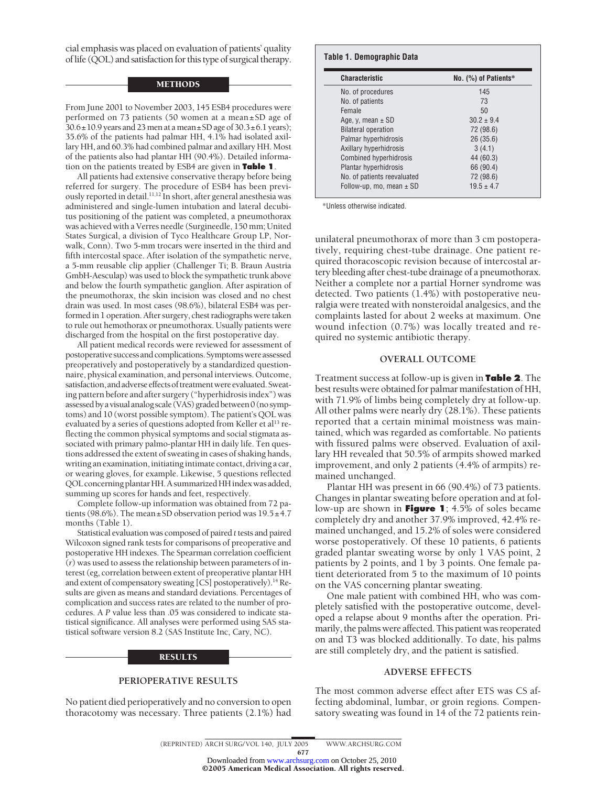cial emphasis was placed on evaluation of patients' quality of life (QOL) and satisfaction for this type of surgical therapy.

#### METHODS

From June 2001 to November 2003, 145 ESB4 procedures were performed on 73 patients (50 women at a mean±SD age of  $30.6 \pm 10.9$  years and 23 men at a mean $\pm$ SD age of 30.3 $\pm$ 6.1 years); 35.6% of the patients had palmar HH, 4.1% had isolated axillary HH, and 60.3% had combined palmar and axillary HH. Most of the patients also had plantar HH (90.4%). Detailed information on the patients treated by ESB4 are given in **Table 1**.

All patients had extensive conservative therapy before being referred for surgery. The procedure of ESB4 has been previously reported in detail.<sup>11,12</sup> In short, after general anesthesia was administered and single-lumen intubation and lateral decubitus positioning of the patient was completed, a pneumothorax was achieved with a Verres needle (Surgineedle, 150 mm; United States Surgical, a division of Tyco Healthcare Group LP, Norwalk, Conn). Two 5-mm trocars were inserted in the third and fifth intercostal space. After isolation of the sympathetic nerve, a 5-mm reusable clip applier (Challenger Ti; B. Braun Austria GmbH-Aesculap) was used to block the sympathetic trunk above and below the fourth sympathetic ganglion. After aspiration of the pneumothorax, the skin incision was closed and no chest drain was used. In most cases (98.6%), bilateral ESB4 was performed in 1 operation. After surgery, chest radiographs were taken to rule out hemothorax or pneumothorax. Usually patients were discharged from the hospital on the first postoperative day.

All patient medical records were reviewed for assessment of postoperative success and complications. Symptoms were assessed preoperatively and postoperatively by a standardized questionnaire, physical examination, and personal interviews. Outcome, satisfaction, and adverse effects of treatment were evaluated. Sweating pattern before and after surgery ("hyperhidrosis index") was assessed byavisualanalog scale (VAS)graded between 0 (no symptoms) and 10 (worst possible symptom). The patient's QOL was evaluated by a series of questions adopted from Keller et al<sup>13</sup> reflecting the common physical symptoms and social stigmata associated with primary palmo-plantar HH in daily life. Ten questions addressed the extent of sweating in cases of shaking hands, writing an examination, initiating intimate contact, driving a car, or wearing gloves, for example. Likewise, 5 questions reflected QOL concerning plantar HH. A summarized HH index was added, summing up scores for hands and feet, respectively.

Complete follow-up information was obtained from 72 patients (98.6%). The mean±SD observation period was 19.5±4.7 months (Table 1).

Statistical evaluation was composed of paired *t*tests and paired Wilcoxon signed rank tests for comparisons of preoperative and postoperative HH indexes. The Spearman correlation coefficient (*r*) was used to assess the relationship between parameters of interest (eg, correlation between extent of preoperative plantar HH and extent of compensatory sweating [CS] postoperatively).<sup>14</sup> Results are given as means and standard deviations. Percentages of complication and success rates are related to the number of procedures. A *P* value less than .05 was considered to indicate statistical significance. All analyses were performed using SAS statistical software version 8.2 (SAS Institute Inc, Cary, NC).

#### **RESULTS**

#### **PERIOPERATIVE RESULTS**

No patient died perioperatively and no conversion to open thoracotomy was necessary. Three patients (2.1%) had

| <b>Characteristic</b>         | No. $(\%)$ of Patients* |
|-------------------------------|-------------------------|
| No. of procedures             | 145                     |
| No. of patients               | 73                      |
| Female                        | 50                      |
| Age, y, mean $\pm$ SD         | $30.2 \pm 9.4$          |
| <b>Bilateral operation</b>    | 72 (98.6)               |
| Palmar hyperhidrosis          | 26(35.6)                |
| Axillary hyperhidrosis        | 3(4.1)                  |
| <b>Combined hyperhidrosis</b> | 44 (60.3)               |
| Plantar hyperhidrosis         | 66 (90.4)               |
| No. of patients reevaluated   | 72 (98.6)               |
| Follow-up, mo, mean $\pm$ SD  | $19.5 \pm 4.7$          |

\*Unless otherwise indicated.

unilateral pneumothorax of more than 3 cm postoperatively, requiring chest-tube drainage. One patient required thoracoscopic revision because of intercostal artery bleeding after chest-tube drainage of a pneumothorax. Neither a complete nor a partial Horner syndrome was detected. Two patients (1.4%) with postoperative neuralgia were treated with nonsteroidal analgesics, and the complaints lasted for about 2 weeks at maximum. One wound infection (0.7%) was locally treated and required no systemic antibiotic therapy.

#### **OVERALL OUTCOME**

Treatment success at follow-up is given in **Table 2**. The best results were obtained for palmar manifestation of HH, with 71.9% of limbs being completely dry at follow-up. All other palms were nearly dry (28.1%). These patients reported that a certain minimal moistness was maintained, which was regarded as comfortable. No patients with fissured palms were observed. Evaluation of axillary HH revealed that 50.5% of armpits showed marked improvement, and only 2 patients (4.4% of armpits) remained unchanged.

Plantar HH was present in 66 (90.4%) of 73 patients. Changes in plantar sweating before operation and at follow-up are shown in **Figure 1**; 4.5% of soles became completely dry and another 37.9% improved, 42.4% remained unchanged, and 15.2% of soles were considered worse postoperatively. Of these 10 patients, 6 patients graded plantar sweating worse by only 1 VAS point, 2 patients by 2 points, and 1 by 3 points. One female patient deteriorated from 5 to the maximum of 10 points on the VAS concerning plantar sweating.

One male patient with combined HH, who was completely satisfied with the postoperative outcome, developed a relapse about 9 months after the operation. Primarily, the palms were affected. This patient was reoperated on and T3 was blocked additionally. To date, his palms are still completely dry, and the patient is satisfied.

#### **ADVERSE EFFECTS**

The most common adverse effect after ETS was CS affecting abdominal, lumbar, or groin regions. Compensatory sweating was found in 14 of the 72 patients rein-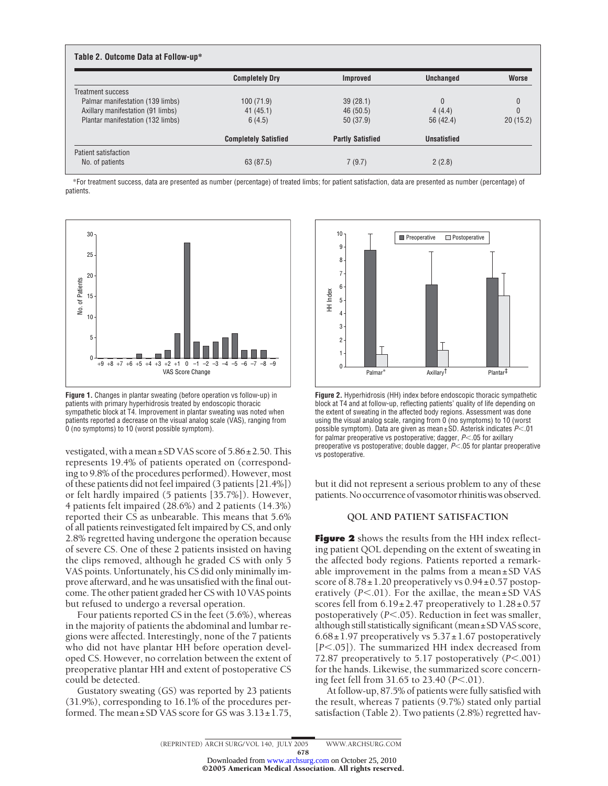|                                   | <b>Completely Dry</b>       | Improved                | <b>Unchanged</b>   | <b>Worse</b> |
|-----------------------------------|-----------------------------|-------------------------|--------------------|--------------|
| Treatment success                 |                             |                         |                    |              |
| Palmar manifestation (139 limbs)  | 100(71.9)                   | 39(28.1)                | $\mathbf{0}$       |              |
| Axillary manifestation (91 limbs) | 41(45.1)                    | 46(50.5)                | 4(4.4)             | 0            |
| Plantar manifestation (132 limbs) | 6(4.5)                      | 50 (37.9)               | 56 (42.4)          | 20(15.2)     |
|                                   | <b>Completely Satisfied</b> | <b>Partly Satisfied</b> | <b>Unsatisfied</b> |              |

\*For treatment success, data are presented as number (percentage) of treated limbs; for patient satisfaction, data are presented as number (percentage) of patients.



**Figure 1.** Changes in plantar sweating (before operation vs follow-up) in patients with primary hyperhidrosis treated by endoscopic thoracic sympathetic block at T4. Improvement in plantar sweating was noted when patients reported a decrease on the visual analog scale (VAS), ranging from 0 (no symptoms) to 10 (worst possible symptom).

vestigated, with a mean±SD VAS score of 5.86±2.50. This represents 19.4% of patients operated on (corresponding to 9.8% of the procedures performed). However, most of these patients did not feel impaired (3 patients [21.4%]) or felt hardly impaired (5 patients [35.7%]). However, 4 patients felt impaired (28.6%) and 2 patients (14.3%) reported their CS as unbearable. This means that 5.6% of all patients reinvestigated felt impaired by CS, and only 2.8% regretted having undergone the operation because of severe CS. One of these 2 patients insisted on having the clips removed, although he graded CS with only 5 VAS points. Unfortunately, his CS did only minimally improve afterward, and he was unsatisfied with the final outcome. The other patient graded her CS with 10 VAS points but refused to undergo a reversal operation.

Four patients reported CS in the feet (5.6%), whereas in the majority of patients the abdominal and lumbar regions were affected. Interestingly, none of the 7 patients who did not have plantar HH before operation developed CS. However, no correlation between the extent of preoperative plantar HH and extent of postoperative CS could be detected.

Gustatory sweating (GS) was reported by 23 patients (31.9%), corresponding to 16.1% of the procedures performed. The mean $\pm$ SD VAS score for GS was  $3.13\pm1.75$ ,



**Figure 2.** Hyperhidrosis (HH) index before endoscopic thoracic sympathetic block at T4 and at follow-up, reflecting patients' quality of life depending on the extent of sweating in the affected body regions. Assessment was done using the visual analog scale, ranging from 0 (no symptoms) to 10 (worst possible symptom). Data are given as mean ±SD. Asterisk indicates *P*.01 for palmar preoperative vs postoperative; dagger,  $P$ <.05 for axillary preoperative vs postoperative; double dagger,  $P$ < 05 for plantar preoperative vs postoperative.

but it did not represent a serious problem to any of these patients.No occurrence ofvasomotor rhinitiswas observed.

#### **QOL AND PATIENT SATISFACTION**

**Figure 2** shows the results from the HH index reflecting patient QOL depending on the extent of sweating in the affected body regions. Patients reported a remarkable improvement in the palms from a mean±SD VAS score of  $8.78 \pm 1.20$  preoperatively vs  $0.94 \pm 0.57$  postoperatively  $(P<.01)$ . For the axillae, the mean $\pm$ SD VAS scores fell from  $6.19 \pm 2.47$  preoperatively to  $1.28 \pm 0.57$ postoperatively  $(P<.05)$ . Reduction in feet was smaller, although still statistically significant (mean±SD VAS score,  $6.68 \pm 1.97$  preoperatively vs  $5.37 \pm 1.67$  postoperatively [*P*<.05]). The summarized HH index decreased from 72.87 preoperatively to 5.17 postoperatively  $(P<.001)$ for the hands. Likewise, the summarized score concerning feet fell from  $31.65$  to  $23.40$  ( $P < 01$ ).

At follow-up, 87.5% of patients were fully satisfied with the result, whereas 7 patients (9.7%) stated only partial satisfaction (Table 2). Two patients (2.8%) regretted hav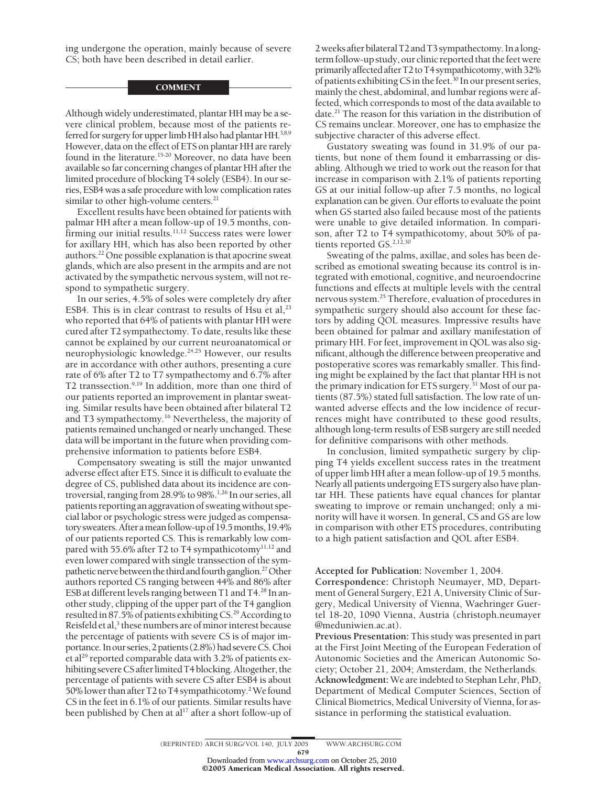ing undergone the operation, mainly because of severe CS; both have been described in detail earlier.

### **COMMENT**

Although widely underestimated, plantar HH may be a severe clinical problem, because most of the patients referred for surgery for upper limb HH also had plantar HH.<sup>3,8,9</sup> However, data on the effect of ETS on plantar HH are rarely found in the literature.<sup>15-20</sup> Moreover, no data have been available so far concerning changes of plantar HH after the limited procedure of blocking T4 solely (ESB4). In our series, ESB4 was a safe procedure with low complication rates similar to other high-volume centers.<sup>21</sup>

Excellent results have been obtained for patients with palmar HH after a mean follow-up of 19.5 months, confirming our initial results.<sup>11,12</sup> Success rates were lower for axillary HH, which has also been reported by other authors.22 One possible explanation is that apocrine sweat glands, which are also present in the armpits and are not activated by the sympathetic nervous system, will not respond to sympathetic surgery.

In our series, 4.5% of soles were completely dry after ESB4. This is in clear contrast to results of Hsu et al, $^{23}$ who reported that 64% of patients with plantar HH were cured after T2 sympathectomy. To date, results like these cannot be explained by our current neuroanatomical or neurophysiologic knowledge.24,25 However, our results are in accordance with other authors, presenting a cure rate of 6% after T2 to T7 sympathectomy and 6.7% after T2 transsection.<sup>9,19</sup> In addition, more than one third of our patients reported an improvement in plantar sweating. Similar results have been obtained after bilateral T2 and T3 sympathectomy.<sup>16</sup> Nevertheless, the majority of patients remained unchanged or nearly unchanged. These data will be important in the future when providing comprehensive information to patients before ESB4.

Compensatory sweating is still the major unwanted adverse effect after ETS. Since it is difficult to evaluate the degree of CS, published data about its incidence are controversial, ranging from 28.9% to 98%.1,26 In our series, all patients reporting an aggravation of sweating without special labor or psychologic stress were judged as compensatory sweaters.Afterameanfollow-up of 19.5months, 19.4% of our patients reported CS. This is remarkably low compared with 55.6% after T2 to T4 sympathicotomy<sup>11,12</sup> and even lower compared with single transsection of the sympathetic nerve between the third and fourth ganglion.<sup>27</sup> Other authors reported CS ranging between 44% and 86% after ESB at different levels ranging between T1 and T4.<sup>28</sup> In another study, clipping of the upper part of the T4 ganglion resulted in 87.5% of patients exhibiting CS.<sup>29</sup> According to Reisfeld et al, $3$  these numbers are of minor interest because the percentage of patients with severe CS is of major importance. In our series, 2 patients (2.8%) had severe CS. Choi et al<sup>29</sup> reported comparable data with 3.2% of patients exhibiting severe CS after limited T4 blocking. Altogether, the percentage of patients with severe CS after ESB4 is about 50% lower than after T2 to T4 sympathicotomy.<sup>2</sup> We found CS in the feet in 6.1% of our patients. Similar results have been published by Chen at al<sup>17</sup> after a short follow-up of

2 weeks after bilateral T2 and T3 sympathectomy. In a longterm follow-up study, our clinic reported that the feet were primarily affected after T2 to T4 sympathicotomy, with 32% of patients exhibiting CS in the feet.<sup>30</sup> In our present series, mainly the chest, abdominal, and lumbar regions were affected, which corresponds to most of the data available to date.<sup>21</sup> The reason for this variation in the distribution of CS remains unclear. Moreover, one has to emphasize the subjective character of this adverse effect.

Gustatory sweating was found in 31.9% of our patients, but none of them found it embarrassing or disabling. Although we tried to work out the reason for that increase in comparison with 2.1% of patients reporting GS at our initial follow-up after 7.5 months, no logical explanation can be given. Our efforts to evaluate the point when GS started also failed because most of the patients were unable to give detailed information. In comparison, after T2 to T4 sympathicotomy, about 50% of patients reported GS.<sup>2,12,30</sup>

Sweating of the palms, axillae, and soles has been described as emotional sweating because its control is integrated with emotional, cognitive, and neuroendocrine functions and effects at multiple levels with the central nervous system.<sup>25</sup> Therefore, evaluation of procedures in sympathetic surgery should also account for these factors by adding QOL measures. Impressive results have been obtained for palmar and axillary manifestation of primary HH. For feet, improvement in QOL was also significant, although the difference between preoperative and postoperative scores was remarkably smaller. This finding might be explained by the fact that plantar HH is not the primary indication for ETS surgery.31 Most of our patients (87.5%) stated full satisfaction. The low rate of unwanted adverse effects and the low incidence of recurrences might have contributed to these good results, although long-term results of ESB surgery are still needed for definitive comparisons with other methods.

In conclusion, limited sympathetic surgery by clipping T4 yields excellent success rates in the treatment of upper limb HH after a mean follow-up of 19.5 months. Nearly all patients undergoing ETS surgery also have plantar HH. These patients have equal chances for plantar sweating to improve or remain unchanged; only a minority will have it worsen. In general, CS and GS are low in comparison with other ETS procedures, contributing to a high patient satisfaction and QOL after ESB4.

**Accepted for Publication:** November 1, 2004.

**Correspondence:** Christoph Neumayer, MD, Department of General Surgery, E21 A, University Clinic of Surgery, Medical University of Vienna, Waehringer Guertel 18-20, 1090 Vienna, Austria (christoph.neumayer @meduniwien.ac.at).

**Previous Presentation:** This study was presented in part at the First Joint Meeting of the European Federation of Autonomic Societies and the American Autonomic Society; October 21, 2004; Amsterdam, the Netherlands. **Acknowledgment:**We are indebted to Stephan Lehr, PhD, Department of Medical Computer Sciences, Section of Clinical Biometrics, Medical University of Vienna, for assistance in performing the statistical evaluation.